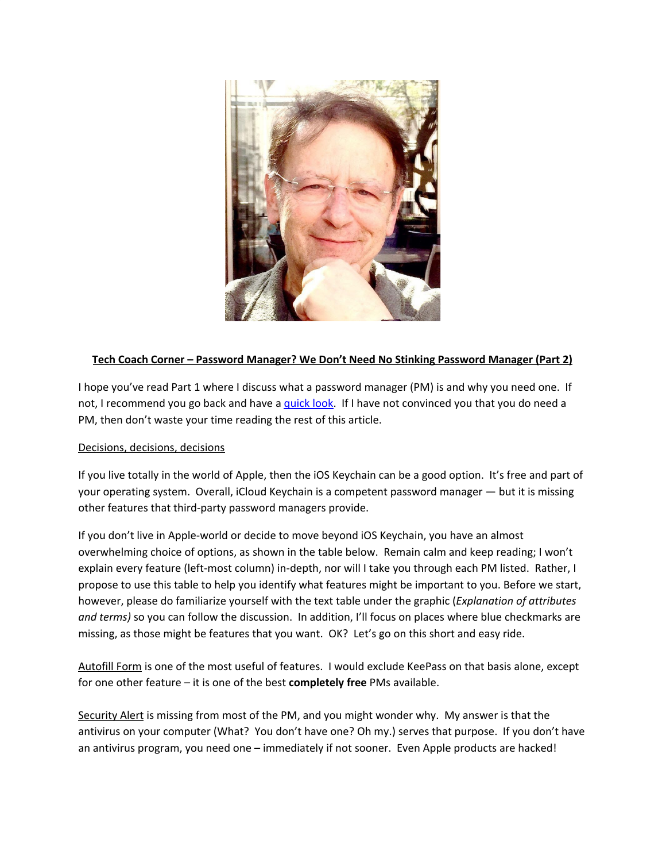

## **Tech Coach Corner – Password Manager? We Don't Need No Stinking Password Manager (Part 2)**

I hope you've read Part 1 where I discuss what a password manager (PM) is and why you need one. If not, I recommend you go back and have a *[quick](https://laketravislibrary.org/wp-content/uploads/2020/04/Tech-Coach-Column-Password-Managers-Part-1-1.pdf) look*. If I have not convinced you that you do need a PM, then don't waste your time reading the rest of this article.

## Decisions, decisions, decisions

If you live totally in the world of Apple, then the iOS Keychain can be a good option. It's free and part of your operating system. Overall, iCloud Keychain is a competent password manager — but it is missing other features that third-party password managers provide.

If you don't live in Apple-world or decide to move beyond iOS Keychain, you have an almost overwhelming choice of options, as shown in the table below. Remain calm and keep reading; I won't explain every feature (left-most column) in-depth, nor will I take you through each PM listed. Rather, I propose to use this table to help you identify what features might be important to you. Before we start, however, please do familiarize yourself with the text table under the graphic (*Explanation of attributes and terms)* so you can follow the discussion. In addition, I'll focus on places where blue checkmarks are missing, as those might be features that you want. OK? Let's go on this short and easy ride.

Autofill Form is one of the most useful of features. I would exclude KeePass on that basis alone, except for one other feature – it is one of the best **completely free** PMs available.

Security Alert is missing from most of the PM, and you might wonder why. My answer is that the antivirus on your computer (What? You don't have one? Oh my.) serves that purpose. If you don't have an antivirus program, you need one – immediately if not sooner. Even Apple products are hacked!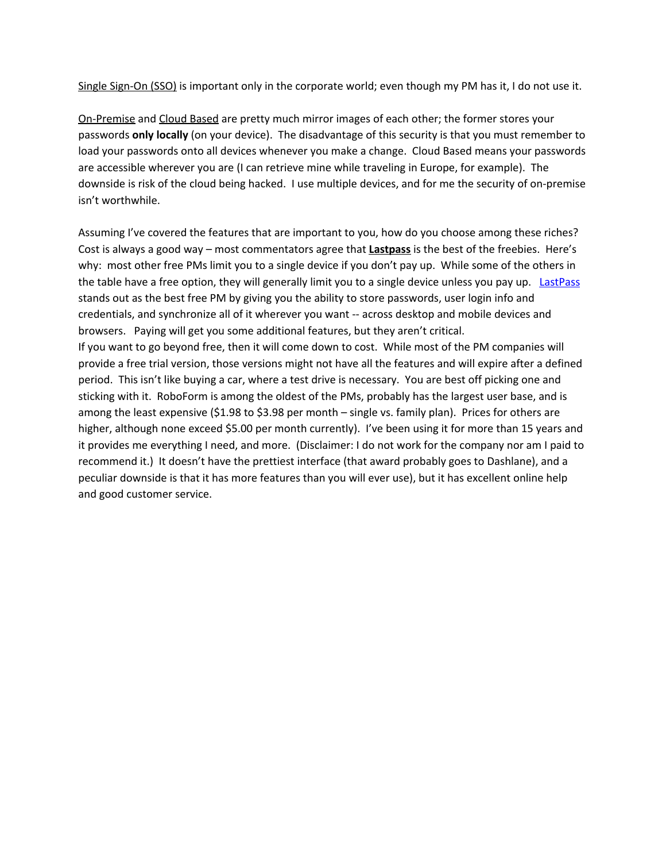Single Sign-On (SSO) is important only in the corporate world; even though my PM has it, I do not use it.

On-Premise and Cloud Based are pretty much mirror images of each other; the former stores your passwords **only locally** (on your device). The disadvantage of this security is that you must remember to load your passwords onto all devices whenever you make a change. Cloud Based means your passwords are accessible wherever you are (I can retrieve mine while traveling in Europe, for example). The downside is risk of the cloud being hacked. I use multiple devices, and for me the security of on-premise isn't worthwhile.

Assuming I've covered the features that are important to you, how do you choose among these riches? Cost is always a good way – most commentators agree that **Lastpass** is the best of the freebies. Here's why: most other free PMs limit you to a single device if you don't pay up. While some of the others in the table have a free option, they will generally limit you to a single device unless you pay up. [LastPass](https://www.cnet.com/news/this-is-the-best-free-password-manager/) stands out as the best free PM by giving you the ability to store passwords, user login info and credentials, and synchronize all of it wherever you want -- across desktop and mobile devices and browsers. Paying will get you some additional features, but they aren't critical. If you want to go beyond free, then it will come down to cost. While most of the PM companies will provide a free trial version, those versions might not have all the features and will expire after a defined period. This isn't like buying a car, where a test drive is necessary. You are best off picking one and sticking with it. RoboForm is among the oldest of the PMs, probably has the largest user base, and is among the least expensive (\$1.98 to \$3.98 per month – single vs. family plan). Prices for others are higher, although none exceed \$5.00 per month currently). I've been using it for more than 15 years and it provides me everything I need, and more. (Disclaimer: I do not work for the company nor am I paid to recommend it.) It doesn't have the prettiest interface (that award probably goes to Dashlane), and a peculiar downside is that it has more features than you will ever use), but it has excellent online help and good customer service.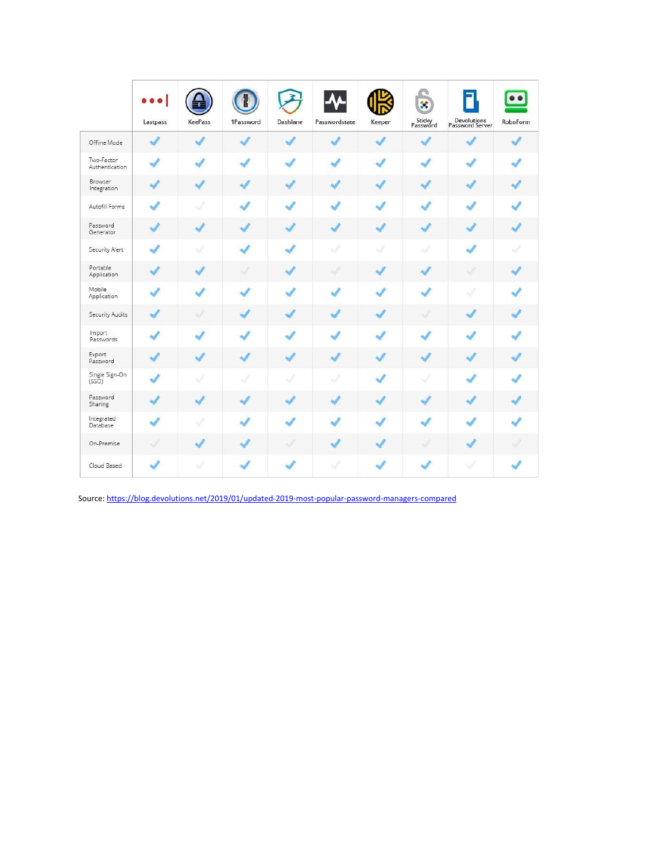|                              | ō<br>Lastpass            | KeePass                  | 1Password                  | Dashlane | Passwordstate | Keeper        | $\mathcal{R}$<br>Sticky<br>Password | Devolutions<br>Password Server | $\bullet$<br>RoboForm    |
|------------------------------|--------------------------|--------------------------|----------------------------|----------|---------------|---------------|-------------------------------------|--------------------------------|--------------------------|
| Offline Mode                 | √                        |                          |                            | J        |               | $\mathcal{L}$ | $\overline{\phantom{a}}$            |                                |                          |
| Two-Factor<br>Authentication | $\mathcal{L}$            |                          | $\boldsymbol{\mathcal{J}}$ | J        | ä             | $\sqrt{}$     | پ                                   |                                | $\sqrt{}$                |
| Browser<br>Integration       | J                        | $\overline{\mathcal{L}}$ | J                          | J        | J             | J             | J                                   | J                              | J                        |
| Autofill Forms               | $\mathcal{L}$            | s                        | $\sqrt{}$                  | J        |               |               | مہ                                  |                                | $\mathcal{L}$            |
| Password<br>Generator        |                          |                          | J                          | J        | J             | √             | J                                   |                                | $\overline{\mathcal{L}}$ |
| Security Alert               | ×                        |                          | $\checkmark$               | ر        | S.            | À             | u                                   |                                | J                        |
| Portable<br>Application      |                          |                          | ₩                          | J        | w             | J             | J                                   | u                              | w                        |
| Mobile<br>Application        | ۰                        |                          |                            |          |               |               | مە                                  | w                              | J                        |
| Security Audits              | J                        | ୰                        | ┙                          | J        |               | √             | u                                   |                                | J                        |
| Import<br>Passwords          | ر                        |                          | J                          |          |               | J             |                                     |                                | ✔                        |
| Export<br>Password           |                          |                          | گە                         | J        |               | ر             | محا                                 |                                | J                        |
| Single Sign-On<br>(SSO)      | J                        | J                        | ×,                         | Á        | u             | $\checkmark$  |                                     |                                | گ                        |
| Password<br>Sharing          |                          |                          | ما                         |          |               | J             | J                                   |                                | J                        |
| Integrated<br>Database       | $\overline{\mathcal{L}}$ | Í                        | $\boldsymbol{J}$           |          |               |               | s                                   |                                | ر                        |
| On-Premise                   | A                        |                          | J                          | Á        |               | J             | J                                   |                                | S.                       |
| Cloud Based                  | J                        |                          |                            |          | S)            |               |                                     |                                |                          |

Source: <https://blog.devolutions.net/2019/01/updated-2019-most-popular-password-managers-compared>